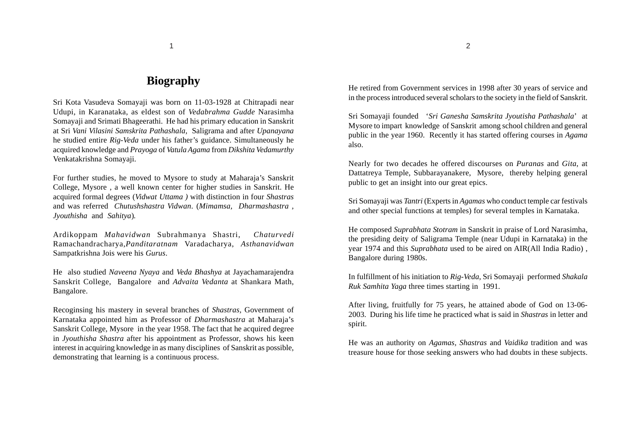## **Biography**

Sri Kota Vasudeva Somayaji was born on 11-03-1928 at Chitrapadi near Udupi, in Karanataka, as eldest son of *Vedabrahma Gudde* Narasimha Somayaji and Srimati Bhageerathi. He had his primary education in Sanskrit at Sri *Vani Vilasini Samskrita Pathashala,* Saligrama and after *Upanayana* he studied entire *Rig-Veda* under his father's guidance. Simultaneously he acquired knowledge and *Prayoga* of *Vatula Agama* from *Dikshita Vedamurthy* Venkatakrishna Somayaji.

For further studies, he moved to Mysore to study at Maharaja's Sanskrit College, Mysore , a well known center for higher studies in Sanskrit. He acquired formal degrees (*Vidwat Uttama )* with distinction in four *Shastras* and was referred *Chutushshastra Vidwan*. (*Mimamsa, Dharmashastra , Jyouthisha* and *Sahitya*)*.*

Ardikoppam *Mahavidwan* Subrahmanya Shastri, *Chaturvedi* Ramachandracharya,*Panditaratnam* Varadacharya, *Asthanavidwan* Sampatkrishna Jois were his *Gurus*.

He also studied *Naveena Nyaya* and *Veda Bhashya* at Jayachamarajendra Sanskrit College, Bangalore and *Advaita Vedanta* at Shankara Math, Bangalore.

Recoginsing his mastery in several branches of *Shastras,* Government of Karnataka appointed him as Professor of *Dharmashastra* at Maharaja's Sanskrit College, Mysore in the year 1958. The fact that he acquired degree in *Jyouthisha Shastra* after his appointment as Professor, shows his keen interest in acquiring knowledge in as many disciplines of Sanskrit as possible, demonstrating that learning is a continuous process.

He retired from Government services in 1998 after 30 years of service and in the process introduced several scholars to the society in the field of Sanskrit.

Sri Somayaji founded '*Sri Ganesha Samskrita Jyoutisha Pathashala*' at Mysore to impart knowledge of Sanskrit among school children and general public in the year 1960. Recently it has started offering courses in *Agama* also.

Nearly for two decades he offered discourses on *Puranas* and *Gita*, at Dattatreya Temple, Subbarayanakere, Mysore, thereby helping general public to get an insight into our great epics.

Sri Somayaji was *Tantri* (Experts in *Agamas* who conduct temple car festivals and other special functions at temples) for several temples in Karnataka.

He composed *Suprabhata Stotram* in Sanskrit in praise of Lord Narasimha, the presiding deity of Saligrama Temple (near Udupi in Karnataka) in the year 1974 and this *Suprabhata* used to be aired on AIR(All India Radio) , Bangalore during 1980s.

In fulfillment of his initiation to *Rig-Veda*, Sri Somayaji performed *Shakala Ruk Samhita Yaga* three times starting in 1991.

After living, fruitfully for 75 years, he attained abode of God on 13-06- 2003. During his life time he practiced what is said in *Shastras* in letter and spirit.

He was an authority on *Agamas, Shastras* and *Vaidika* tradition and was treasure house for those seeking answers who had doubts in these subjects.